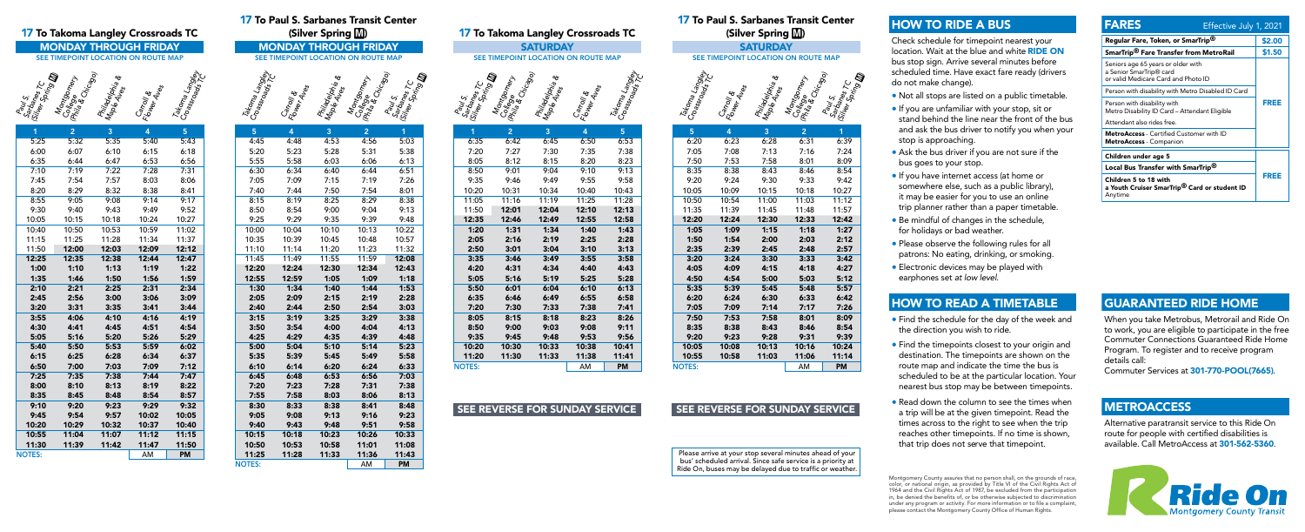### 17 To Takoma Langley Crossroads TC



### 17 To Paul S. Sarbanes Transit Center (Silver Spring M)

# SEE TIMEPOINT LOCATION ON ROUTE MAP



| 1             | 2     | 3     | 4     | 5         |
|---------------|-------|-------|-------|-----------|
| 5:25          | 5:32  | 5:35  | 5:40  | 5:43      |
| 6:00          | 6:07  | 6:10  | 6:15  | 6:18      |
| 6:35          | 6:44  | 6:47  | 6:53  | 6:56      |
| 7:10          | 7:19  | 7:22  | 7:28  | 7:31      |
| 7:45          | 7:54  | 7:57  | 8:03  | 8:06      |
| 8:20          | 8:29  | 8:32  | 8:38  | 8:41      |
| 8:55          | 9:05  | 9:08  | 9:14  | 9:17      |
| 9:30          | 9:40  | 9:43  | 9:49  | 9:52      |
| 10:05         | 10:15 | 10:18 | 10:24 | 10:27     |
| 10:40         | 10:50 | 10:53 | 10:59 | 11:02     |
| 11:15         | 11:25 | 11:28 | 11:34 | 11:37     |
| 11:50         | 12:00 | 12:03 | 12:09 | 12:12     |
| 12:25         | 12:35 | 12:38 | 12:44 | 12:47     |
| 1:00          | 1:10  | 1:13  | 1:19  | 1:22      |
| 1:35          | 1:46  | 1:50  | 1:56  | 1:59      |
| 2:10          | 2:21  | 2:25  | 2:31  | 2:34      |
| 2:45          | 2:56  | 3:00  | 3:06  | 3:09      |
| 3:20          | 3:31  | 3:35  | 3:41  | 3:44      |
| 3:55          | 4:06  | 4:10  | 4:16  | 4:19      |
| 4:30          | 4:41  | 4:45  | 4:51  | 4:54      |
| 5:05          | 5:16  | 5:20  | 5:26  | 5:29      |
| 5:40          | 5:50  | 5:53  | 5:59  | 6:02      |
| 6:15          | 6:25  | 6:28  | 6:34  | 6:37      |
| 6:50          | 7:00  | 7:03  | 7:09  | 7:12      |
| 7:25          | 7:35  | 7:38  | 7:44  | 7:47      |
| 8:00          | 8:10  | 8:13  | 8:19  | 8:22      |
| 8:35          | 8:45  | 8:48  | 8:54  | 8:57      |
| 9:10          | 9:20  | 9:23  | 9:29  | 9:32      |
| 9:45          | 9:54  | 9:57  | 10:02 | 10:05     |
| 10:20         | 10:29 | 10:32 | 10:37 | 10:40     |
| 10:55         | 11:04 | 11:07 | 11:12 | 11:15     |
| 11:30         | 11:39 | 11:42 | 11:47 | 11:50     |
| <b>NOTES:</b> |       |       | AM    | <b>PM</b> |

| 17 TV T GUI 9. 9GI DANGS TI ANGIL GGI LGI<br><b>To Takoma Langley Crossroads TC</b> |                                     |                                    |                                     | (Silver Spring M)        |                                |                          | 17 To Takoma Langley Crossroads TC |                                               |                                                                           |        |                                     | 17 TV L GUI <i>J</i> . JGI DANGS TI<br>(Silver Spring [ |                          |                                    |  |                                   |                          |                                                                    |
|-------------------------------------------------------------------------------------|-------------------------------------|------------------------------------|-------------------------------------|--------------------------|--------------------------------|--------------------------|------------------------------------|-----------------------------------------------|---------------------------------------------------------------------------|--------|-------------------------------------|---------------------------------------------------------|--------------------------|------------------------------------|--|-----------------------------------|--------------------------|--------------------------------------------------------------------|
|                                                                                     |                                     |                                    | <b>MONDAY THROUGH FRIDAY</b>        |                          |                                |                          |                                    | <b>MONDAY THROUGH FRIDAY</b>                  |                                                                           |        |                                     | <b>SATURDAY</b>                                         |                          |                                    |  |                                   |                          | <b>SATURDAY</b>                                                    |
|                                                                                     |                                     |                                    | SEE TIMEPOINT LOCATION ON ROUTE MAP |                          |                                |                          |                                    | SEE TIMEPOINT LOCATION ON ROUTE MAP           |                                                                           |        | SEE TIMEPOINT LOCATION ON ROUTE MAP |                                                         |                          |                                    |  |                                   |                          | SEE TIMEPOINT LOCATION ON                                          |
| <b>Merica</b><br>Doring                                                             | Montgome<br>College<br>Mile & Chica | <b>Philadelphia</b><br>Maple Aphia | Carroll &<br>Flower Aves            | Takoma<br>Crassradangley | Takoma Langley<br>Croassraaday | Carroll &<br>Flower Aves | Philadelphi<br>Maple Aphi          | Montgomery<br>College mery<br>Mila & Chicago) | Paul S.<br>Sartaines T.C.<br><sup>Mes Sprin</sup> S <b>III</b><br>र्थ रहे | Sarker | €<br>College<br>IPhila & Chicago    | Philadelphia<br>Maple Ales<br><sup>Maple Ales</sup> a   | Carroll &<br>Flower Aves | Takoma Langley<br>Crassrad Langley |  | Takoma Langkay<br>Croass, Langkay | Carroll &<br>Flower Aves | <b>Philadelphia</b><br>Maple Alrax<br><sup>Maple</sup> Alres<br>É, |
|                                                                                     | $\overline{2}$                      | $\mathbf{3}$                       |                                     | 5 <sup>1</sup>           | 5 <sup>1</sup>                 | $\mathbf{A}$             | $\mathbf{3}$                       | $\overline{2}$                                | 1                                                                         |        | 2 <sup>1</sup>                      | $\overline{3}$                                          | $\overline{4}$           | 5 <sup>1</sup>                     |  | $\overline{5}$                    | $\overline{4}$           | 3                                                                  |
| :25                                                                                 | 5:32                                | 5:35                               | 5:40                                | 5:43                     | 4:45                           | 4:48                     | 4:53                               | 4:56                                          | 5:03                                                                      | 6:35   | 6:42                                | 6:45                                                    | 6:50                     | 6:53                               |  | 6:20                              | 6:23                     | 6:28                                                               |
| :00                                                                                 | 6:07                                | 6:10                               | 6:15                                | 6:18                     | 5:20                           | 5:23                     | 5:28                               | 5:31                                          | 5:38                                                                      | 7:20   | 7:27                                | 7:30                                                    | 7:35                     | 7:38                               |  | 7:05                              | 7:08                     | 7:13                                                               |
| :35                                                                                 | 6:44                                | 6:47                               | 6:53                                | 6:56                     | 5:55                           | 5:58                     | 6:03                               | 6:06                                          | 6:13                                                                      | 8:05   | 8:12                                | 8:15                                                    | 8:20                     | 8:23                               |  | 7:50                              | 7:53                     | 7:58                                                               |
| :10                                                                                 | 7:19                                | 7:22                               | 7:28                                | 7:31                     | 6:30                           | 6:34                     | 6:40                               | 6:44                                          | 6:51                                                                      | 8:50   | 9:01                                | 9:04                                                    | 9:10                     | 9:13                               |  | 8:35                              | 8:38                     | 8:43                                                               |
| :45                                                                                 | 7:54                                | 7:57                               | 8:03                                | 8:06                     | 7:05                           | 7:09                     | 7:15                               | 7:19                                          | 7:26                                                                      | 9:35   | 9:46                                | 9:49                                                    | 9:55                     | 9:58                               |  | 9:20                              | 9:24                     | 9:30                                                               |
| :20                                                                                 | 8:29                                | 8:32                               | 8:38                                | 8:41                     | 7:40                           | 7:44                     | 7:50                               | 7:54                                          | 8:01                                                                      | 10:20  | 10:31                               | 10:34                                                   | 10:40                    | 10:43                              |  | 10:05                             | 10:09                    | 10:15                                                              |
| :55                                                                                 | 9:05                                | 9:08                               | 9:14                                | 9:17                     | 8:15                           | 8:19                     | 8:25                               | 8:29                                          | 8:38                                                                      | 11:05  | 11:16                               | 11:19                                                   | 11:25                    | 11:28                              |  | 10:50                             | 10:54                    | 11:00                                                              |
| :30                                                                                 | 9:40                                | 9:43                               | 9:49                                | 9:52                     | 8:50                           | 8:54                     | 9:00                               | 9:04                                          | 9:13                                                                      | 11:50  | 12:01                               | 12:04                                                   | 12:10                    | 12:13                              |  | 11:35                             | 11:39                    | 11:45                                                              |
| :05                                                                                 | 10:15                               | 10:18                              | 10:24                               | 10:27                    | 9:25                           | 9:29                     | 9:35                               | 9:39                                          | 9:48                                                                      | 12:35  | 12:46                               | 12:49                                                   | 12:55                    | 12:58                              |  | 12:20                             | 12:24                    | 12:30                                                              |
| :40                                                                                 | 10:50                               | 10:53                              | 10:59                               | 11:02                    | 10:00                          | 10:04                    | 10:10                              | 10:13                                         | 10:22                                                                     | 1:20   | 1:31                                | 1:34                                                    | 1:40                     | 1:43                               |  | 1:05                              | 1:09                     | 1:15                                                               |
| :15                                                                                 | 11:25                               | 11:28                              | 11:34                               | 11:37                    | 10:35                          | 10:39                    | 10:45                              | 10:48                                         | 10:57                                                                     | 2:05   | 2:16                                | 2:19                                                    | 2:25                     | 2:28                               |  | 1:50                              | 1:54                     | 2:00                                                               |
| :50                                                                                 | 12:00                               | 12:03                              | 12:09                               | 12:12                    | 11:10                          | 11:14                    | 11:20                              | 11:23                                         | 11:32                                                                     | 2:50   | 3:01                                | 3:04                                                    | 3:10                     | 3:13                               |  | 2:35                              | 2:39                     | 2:45                                                               |
| :25                                                                                 | 12:35                               | 12:38                              | 12:44                               | 12:47                    | 11:45                          | 11:49                    | 11:55                              | 11:59                                         | 12:08                                                                     | 3:35   | 3:46                                | 3:49                                                    | 3:55                     | 3:58                               |  | 3:20                              | 3:24                     | 3:30                                                               |
| :00                                                                                 | 1:10                                | 1:13                               | 1:19                                | 1:22                     | 12:20                          | 12:24                    | 12:30                              | 12:34                                         | 12:43                                                                     | 4:20   | 4:31                                | 4:34                                                    | 4:40                     | 4:43                               |  | 4:05                              | 4:09                     | 4:15                                                               |

| 17 To Paul S. Sarbanes Transit Center  |                                                            |                                          |                                     |                                                |  |  |  |
|----------------------------------------|------------------------------------------------------------|------------------------------------------|-------------------------------------|------------------------------------------------|--|--|--|
| (Silver Spring M)                      |                                                            |                                          |                                     |                                                |  |  |  |
|                                        |                                                            |                                          | <b>MONDAY THROUGH FRIDAY</b>        |                                                |  |  |  |
|                                        |                                                            |                                          | SEE TIMEPOINT LOCATION ON ROUTE MAP |                                                |  |  |  |
|                                        |                                                            |                                          |                                     | wartsines<br>Silver Spring<br>Spring <b>Dr</b> |  |  |  |
| <b>YO<sub>UP</sub></b><br>ECroassroads | <b>C</b> artoll <sub>es</sub><br>Plower Al <sub>less</sub> | <b>Aniadelphia &amp;</b><br>Maple Ales & | Montgomery                          |                                                |  |  |  |
| Takoma I.                              |                                                            |                                          | <b>1974 - 1986</b><br>1988 - Cr.    |                                                |  |  |  |
|                                        |                                                            |                                          |                                     |                                                |  |  |  |
|                                        |                                                            |                                          | Phil <sub>os</sub>                  |                                                |  |  |  |
|                                        |                                                            |                                          |                                     |                                                |  |  |  |
| 5                                      | 4                                                          | 3                                        | $\overline{c}$                      | $\overline{1}$                                 |  |  |  |
| 4:45                                   | 4:48                                                       | 4:53                                     | 4:56                                | 5:03                                           |  |  |  |
| 5:20<br>5:55                           | 5:23<br>5:58                                               | 5:28                                     | 5:31                                | 5:38<br>6:13                                   |  |  |  |
| 6:30                                   | 6:34                                                       | 6:03<br>6:40                             | 6:06<br>6:44                        | 6:51                                           |  |  |  |
| 7:05                                   | 7:09                                                       | 7:15                                     | 7:19                                | 7:26                                           |  |  |  |
| 7:40                                   | 7:44                                                       | 7:50                                     | 7:54                                | 8:01                                           |  |  |  |
| 8:15                                   | 8:19                                                       | 8:25                                     | 8:29                                | 8:38                                           |  |  |  |
| 8:50                                   | 8:54                                                       | 9:00                                     | 9:04                                | 9:13                                           |  |  |  |
| 9:25                                   | 9:29                                                       | 9:35                                     | 9:39                                | 9:48                                           |  |  |  |
| 10:00                                  | 10:04                                                      | 10:10                                    | 10:13                               | 10:22                                          |  |  |  |
| 10:35                                  | 10:39                                                      | 10:45                                    | 10:48                               | 10:57                                          |  |  |  |
| 11:10                                  | 11:14                                                      | 11:20                                    | 11:23                               | 11:32                                          |  |  |  |
| 11:45                                  | 11:49                                                      | 11:55                                    | 11:59                               | 12:08                                          |  |  |  |
| 12:20                                  | 12:24                                                      | 12:30                                    | 12:34                               | 12:43                                          |  |  |  |
| 12:55                                  | 12:59                                                      | 1:05                                     | 1:09                                | 1:18                                           |  |  |  |
| 1:30                                   | 1:34                                                       | 1:40                                     | 1:44                                | 1:53                                           |  |  |  |
| 2:05                                   | 2:09                                                       | 2:15                                     | 2:19                                | 2:28                                           |  |  |  |
| 2:40                                   | 2:44                                                       | 2:50                                     | 2:54                                | 3:03                                           |  |  |  |
| 3:15                                   | 3:19                                                       | 3:25                                     | 3:29                                | 3:38                                           |  |  |  |
| 3:50                                   | 3:54                                                       | 4:00                                     | 4:04                                | 4:13                                           |  |  |  |
| 4:25                                   | 4:29                                                       | 4:35                                     | 4:39                                | 4:48                                           |  |  |  |
| 5:00                                   | 5:04                                                       | 5:10                                     | 5:14                                | 5:23                                           |  |  |  |
| 5:35                                   | 5:39                                                       | 5:45                                     | 5:49                                | 5:58                                           |  |  |  |
| 6:10                                   | 6:14                                                       | 6:20                                     | 6:24                                | 6:33                                           |  |  |  |
| 6:45                                   | 6:48                                                       | 6:53                                     | 6:56                                | 7:03                                           |  |  |  |
| 7:20                                   | 7:23                                                       | 7:28                                     | 7:31                                | 7:38                                           |  |  |  |

NOTES: AM PM

| 5             | 4     | 3     | 2     | 1         |
|---------------|-------|-------|-------|-----------|
| 6:20          | 6:23  | 6:28  | 6:31  | 6:39      |
| 7:05          | 7:08  | 7:13  | 7:16  | 7:24      |
| 7:50          | 7:53  | 7:58  | 8:01  | 8:09      |
| 8:35          | 8:38  | 8:43  | 8:46  | 8:54      |
| 9:20          | 9:24  | 9:30  | 9:33  | 9:42      |
| 10:05         | 10:09 | 10:15 | 10:18 | 10:27     |
| 10:50         | 10:54 | 11:00 | 11:03 | 11:12     |
| 11:35         | 11:39 | 11:45 | 11:48 | 11:57     |
| 12:20         | 12:24 | 12:30 | 12:33 | 12:42     |
| 1:05          | 1:09  | 1:15  | 1:18  | 1:27      |
| 1:50          | 1:54  | 2:00  | 2:03  | 2:12      |
| 2:35          | 2:39  | 2:45  | 2:48  | 2:57      |
| 3:20          | 3:24  | 3:30  | 3:33  | 3:42      |
| 4:05          | 4:09  | 4:15  | 4:18  | 4:27      |
| 4:50          | 4:54  | 5:00  | 5:03  | 5:12      |
| 5:35          | 5:39  | 5:45  | 5:48  | 5:57      |
| 6:20          | 6:24  | 6:30  | 6:33  | 6:42      |
| 7:05          | 7:09  | 7:14  | 7:17  | 7:26      |
| 7:50          | 7:53  | 7:58  | 8:01  | 8:09      |
| 8:35          | 8:38  | 8:43  | 8:46  | 8:54      |
| 9:20          | 9:23  | 9:28  | 9:31  | 9:39      |
| 10:05         | 10:08 | 10:13 | 10:16 | 10:24     |
| 10:55         | 10:58 | 11:03 | 11:06 | 11:14     |
| <b>NOTES:</b> |       |       | AM    | <b>PM</b> |

NOTES: AM PM

5:05 5:16 5:19 5:25 5:28 5:50 6:01 6:04 6:10 6:13 6:35 6:46 6:49 6:55 6:58 7:20 7:30 7:33 7:38 7:41 8:05 8:15 8:18 8:23 8:26 8:50 9:00 9:03 9:08 9:11 9:35 9:45 9:48 9:53 9:56 10:20 10:30 10:33 10:38 10:41 11:20 11:30 11:33 11:38 11:41

### SEE REVERSE FOR SUNDAY SERVICE SEE REVERSE FOR SUNDAY SERVICE

Montgomery County assures that no person shall, on the grounds of race, color, or national origin, as provided by Title VI of the Civil Rights Act of 1964 and the Civil Rights Act of 1987, be excluded from the participation in, be denied the benefits of, or be otherwise subjected to discrimination under any program or activity. For more information or to file a complaint, please contact the Montgomery County Office of Human Rights.

7:55 7:58 8:03 8:06 8:13 8:30 8:33 8:38 8:41 8:48 9:05 9:08 9:13 9:16 9:23 9:40 9:43 9:48 9:51 9:58 10:15 10:18 10:23 10:26 10:33 10:50 10:53 10:58 11:01 11:08 11:25 11:28 11:33 11:36 11:43

Please arrive at your stop several minutes ahead of your bus' scheduled arrival. Since safe service is a priority at Ride On, buses may be delayed due to traffic or weather.

# HOW TO RIDE A BUS

Check schedule for timepoint nearest your location. Wait at the blue and white RIDE ON bus stop sign. Arrive several minutes before scheduled time. Have exact fare ready (drivers do not make change).

- Not all stops are listed on a public timetable.
- If you are unfamiliar with your stop, sit or stand behind the line near the front of the bus and ask the bus driver to notify you when your stop is approaching.
- Ask the bus driver if you are not sure if the bus goes to your stop.
- If you have internet access (at home or somewhere else, such as a public library), it may be easier for you to use an online trip planner rather than a paper timetable.
- Be mindful of changes in the schedule, for holidays or bad weather.
- Please observe the following rules for all patrons: No eating, drinking, or smoking.
- Electronic devices may be played with earphones set *at low level*.

## HOW TO READ A TIMETABLE

- Find the schedule for the day of the week and the direction you wish to ride.
- Find the timepoints closest to your origin and destination. The timepoints are shown on the route map and indicate the time the bus is scheduled to be at the particular location. Your nearest bus stop may be between timepoints.
- Read down the column to see the times when a trip will be at the given timepoint. Read the times across to the right to see when the trip reaches other timepoints. If no time is shown, that trip does not serve that timepoint.

| <b>FARES</b>                                                                                         | Effective July 1, 2021 |
|------------------------------------------------------------------------------------------------------|------------------------|
| Regular Fare, Token, or SmarTrip®                                                                    | \$2.00                 |
| SmarTrip <sup>®</sup> Fare Transfer from MetroRail                                                   | \$1.50                 |
| Seniors age 65 years or older with<br>a Senior SmarTrip® card<br>or valid Medicare Card and Photo ID |                        |
| Person with disability with Metro Disabled ID Card                                                   |                        |
| Person with disability with<br>Metro Disability ID Card - Attendant Eligible                         | FREE                   |
| Attendant also rides free.                                                                           |                        |
| <b>MetroAccess</b> - Certified Customer with ID<br>MetroAccess - Companion                           |                        |
| Children under age 5                                                                                 |                        |
| Local Bus Transfer with SmarTrip <sup>®</sup>                                                        |                        |
| Children 5 to 18 with<br>a Youth Cruiser SmarTrip <sup>®</sup> Card or student ID<br>Anytime         | FREE                   |

# GUARANTEED RIDE HOME

When you take Metrobus, Metrorail and Ride On to work, you are eligible to participate in the free Commuter Connections Guaranteed Ride Home Program. To register and to receive program details call:

Commuter Services at 301-770-POOL(7665).

### **METROACCESS**

Alternative paratransit service to this Ride On route for people with certified disabilities is available. Call MetroAccess at 301-562-5360.